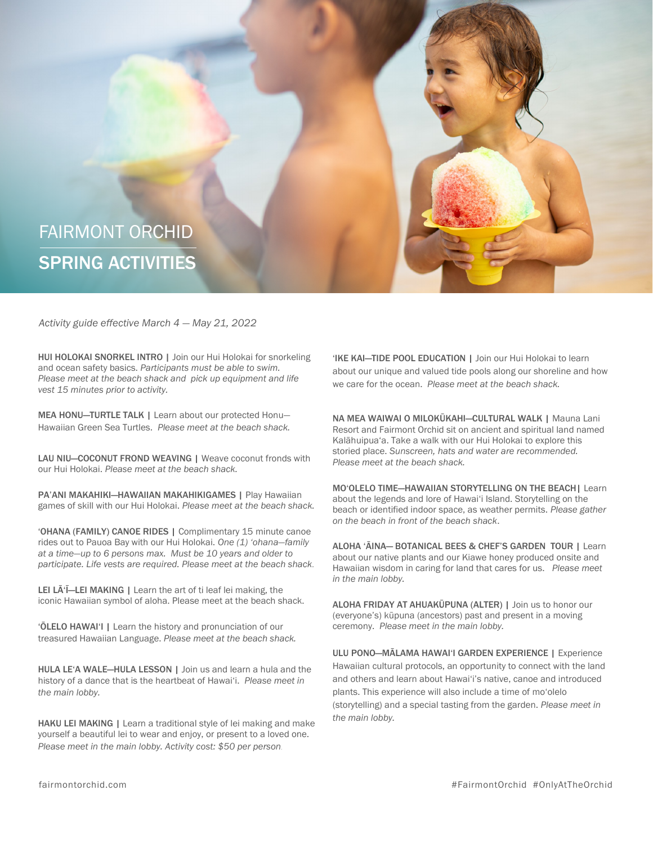

*Activity guide effective March 4 — May 21, 2022*

HUI HOLOKAI SNORKEL INTRO | Join our Hui Holokai for snorkeling and ocean safety basics. *Participants must be able to swim. Please meet at the beach shack and pick up equipment and life vest 15 minutes prior to activity.* 

MEA HONU—TURTLE TALK | Learn about our protected Honu— Hawaiian Green Sea Turtles. *Please meet at the beach shack.*

LAU NIU-COCONUT FROND WEAVING | Weave coconut fronds with our Hui Holokai. *Please meet at the beach shack.* 

PA'ANI MAKAHIKI—HAWAIIAN MAKAHIKIGAMES | Play Hawaiian games of skill with our Hui Holokai. *Please meet at the beach shack.*

'OHANA (FAMILY) CANOE RIDES | Complimentary 15 minute canoe rides out to Pauoa Bay with our Hui Holokai. *One (1) 'ohana—family at a time—up to 6 persons max. Must be 10 years and older to participate. Life vests are required. Please meet at the beach shack.* 

LEI LA<sup>'</sup>I-LEI MAKING | Learn the art of ti leaf lei making, the iconic Hawaiian symbol of aloha. Please meet at the beach shack.

'ŌLELO HAWAI'I | Learn the history and pronunciation of our treasured Hawaiian Language. *Please meet at the beach shack.* 

HULA LE'A WALE—HULA LESSON | Join us and learn a hula and the history of a dance that is the heartbeat of Hawai'i. *Please meet in the main lobby.*

HAKU LEI MAKING | Learn a traditional style of lei making and make yourself a beautiful lei to wear and enjoy, or present to a loved one. *Please meet in the main lobby. Activity cost: \$50 per person.* 

'IKE KAI—TIDE POOL EDUCATION | Join our Hui Holokai to learn about our unique and valued tide pools along our shoreline and how we care for the ocean. *Please meet at the beach shack.* 

NA MEA WAIWAI O MILOKŪKAHI—CULTURAL WALK | Mauna Lani Resort and Fairmont Orchid sit on ancient and spiritual land named Kalāhuipua'a. Take a walk with our Hui Holokai to explore this storied place. *Sunscreen, hats and water are recommended. Please meet at the beach shack.* 

MO'OLELO TIME—HAWAIIAN STORYTELLING ON THE BEACH| Learn about the legends and lore of Hawai'i Island. Storytelling on the beach or identified indoor space, as weather permits. *Please gather on the beach in front of the beach shack*.

ALOHA 'ĀINA— BOTANICAL BEES & CHEF'S GARDEN TOUR | Learn about our native plants and our Kiawe honey produced onsite and Hawaiian wisdom in caring for land that cares for us. *Please meet in the main lobby.* 

ALOHA FRIDAY AT AHUAKŪPUNA (ALTER) | Join us to honor our (everyone's) kūpuna (ancestors) past and present in a moving ceremony. *Please meet in the main lobby.* 

ULU PONO—MĀLAMA HAWAI'I GARDEN EXPERIENCE | Experience Hawaiian cultural protocols, an opportunity to connect with the land and others and learn about Hawai'i's native, canoe and introduced plants. This experience will also include a time of mo'olelo (storytelling) and a special tasting from the garden. *Please meet in the main lobby.*